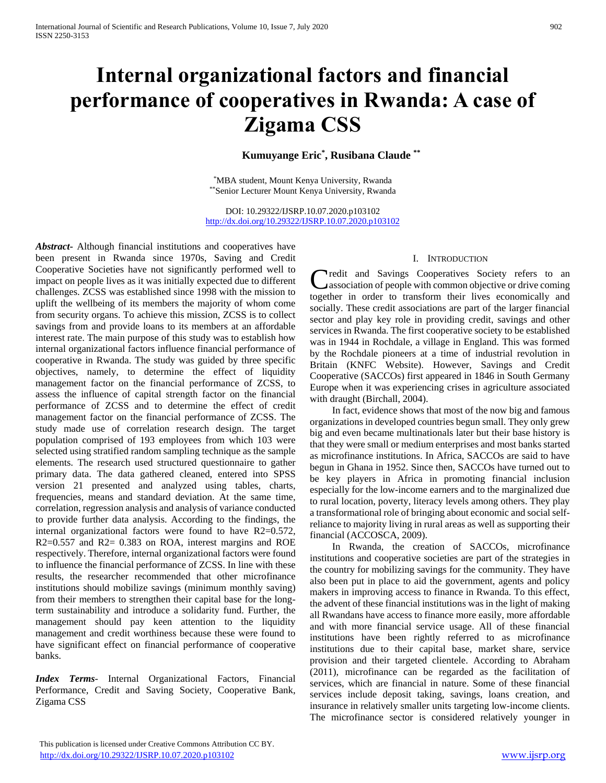# **Internal organizational factors and financial performance of cooperatives in Rwanda: A case of Zigama CSS**

# **Kumuyange Eric\* , Rusibana Claude \*\***

\*MBA student, Mount Kenya University, Rwanda \*\*Senior Lecturer Mount Kenya University, Rwanda

DOI: 10.29322/IJSRP.10.07.2020.p103102 <http://dx.doi.org/10.29322/IJSRP.10.07.2020.p103102>

*Abstract***-** Although financial institutions and cooperatives have been present in Rwanda since 1970s, Saving and Credit Cooperative Societies have not significantly performed well to impact on people lives as it was initially expected due to different challenges. ZCSS was established since 1998 with the mission to uplift the wellbeing of its members the majority of whom come from security organs. To achieve this mission, ZCSS is to collect savings from and provide loans to its members at an affordable interest rate. The main purpose of this study was to establish how internal organizational factors influence financial performance of cooperative in Rwanda. The study was guided by three specific objectives, namely, to determine the effect of liquidity management factor on the financial performance of ZCSS, to assess the influence of capital strength factor on the financial performance of ZCSS and to determine the effect of credit management factor on the financial performance of ZCSS. The study made use of correlation research design. The target population comprised of 193 employees from which 103 were selected using stratified random sampling technique as the sample elements. The research used structured questionnaire to gather primary data. The data gathered cleaned, entered into SPSS version 21 presented and analyzed using tables, charts, frequencies, means and standard deviation. At the same time, correlation, regression analysis and analysis of variance conducted to provide further data analysis. According to the findings, the internal organizational factors were found to have R2=0.572, R2=0.557 and R2= 0.383 on ROA, interest margins and ROE respectively. Therefore, internal organizational factors were found to influence the financial performance of ZCSS. In line with these results, the researcher recommended that other microfinance institutions should mobilize savings (minimum monthly saving) from their members to strengthen their capital base for the longterm sustainability and introduce a solidarity fund. Further, the management should pay keen attention to the liquidity management and credit worthiness because these were found to have significant effect on financial performance of cooperative banks.

*Index Terms*- Internal Organizational Factors, Financial Performance, Credit and Saving Society, Cooperative Bank, Zigama CSS

#### I. INTRODUCTION

**Tredit and Savings Cooperatives Society refers to an** Credit and Savings Cooperatives Society refers to an association of people with common objective or drive coming together in order to transform their lives economically and socially. These credit associations are part of the larger financial sector and play key role in providing credit, savings and other services in Rwanda. The first cooperative society to be established was in 1944 in Rochdale, a village in England. This was formed by the Rochdale pioneers at a time of industrial revolution in Britain (KNFC Website). However, Savings and Credit Cooperative (SACCOs) first appeared in 1846 in South Germany Europe when it was experiencing crises in agriculture associated with draught (Birchall, 2004).

 In fact, evidence shows that most of the now big and famous organizations in developed countries begun small. They only grew big and even became multinationals later but their base history is that they were small or medium enterprises and most banks started as microfinance institutions. In Africa, SACCOs are said to have begun in Ghana in 1952. Since then, SACCOs have turned out to be key players in Africa in promoting financial inclusion especially for the low-income earners and to the marginalized due to rural location, poverty, literacy levels among others. They play a transformational role of bringing about economic and social selfreliance to majority living in rural areas as well as supporting their financial (ACCOSCA, 2009).

 In Rwanda, the creation of SACCOs, microfinance institutions and cooperative societies are part of the strategies in the country for mobilizing savings for the community. They have also been put in place to aid the government, agents and policy makers in improving access to finance in Rwanda. To this effect, the advent of these financial institutions was in the light of making all Rwandans have access to finance more easily, more affordable and with more financial service usage. All of these financial institutions have been rightly referred to as microfinance institutions due to their capital base, market share, service provision and their targeted clientele. According to Abraham (2011), microfinance can be regarded as the facilitation of services, which are financial in nature. Some of these financial services include deposit taking, savings, loans creation, and insurance in relatively smaller units targeting low-income clients. The microfinance sector is considered relatively younger in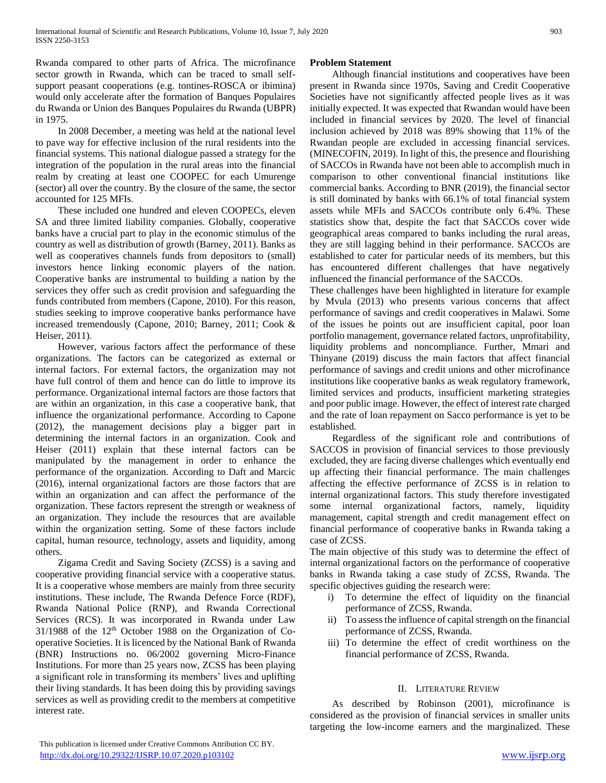Rwanda compared to other parts of Africa. The microfinance sector growth in Rwanda, which can be traced to small selfsupport peasant cooperations (e.g. tontines-ROSCA or ibimina) would only accelerate after the formation of Banques Populaires du Rwanda or Union des Banques Populaires du Rwanda (UBPR) in 1975.

 In 2008 December, a meeting was held at the national level to pave way for effective inclusion of the rural residents into the financial systems. This national dialogue passed a strategy for the integration of the population in the rural areas into the financial realm by creating at least one COOPEC for each Umurenge (sector) all over the country. By the closure of the same, the sector accounted for 125 MFIs.

 These included one hundred and eleven COOPECs, eleven SA and three limited liability companies. Globally, cooperative banks have a crucial part to play in the economic stimulus of the country as well as distribution of growth (Barney, 2011). Banks as well as cooperatives channels funds from depositors to (small) investors hence linking economic players of the nation. Cooperative banks are instrumental to building a nation by the services they offer such as credit provision and safeguarding the funds contributed from members (Capone, 2010). For this reason, studies seeking to improve cooperative banks performance have increased tremendously (Capone, 2010; Barney, 2011; Cook & Heiser, 2011).

 However, various factors affect the performance of these organizations. The factors can be categorized as external or internal factors. For external factors, the organization may not have full control of them and hence can do little to improve its performance. Organizational internal factors are those factors that are within an organization, in this case a cooperative bank, that influence the organizational performance. According to Capone (2012), the management decisions play a bigger part in determining the internal factors in an organization. Cook and Heiser (2011) explain that these internal factors can be manipulated by the management in order to enhance the performance of the organization. According to Daft and Marcic (2016), internal organizational factors are those factors that are within an organization and can affect the performance of the organization. These factors represent the strength or weakness of an organization. They include the resources that are available within the organization setting. Some of these factors include capital, human resource, technology, assets and liquidity, among others.

 Zigama Credit and Saving Society (ZCSS) is a saving and cooperative providing financial service with a cooperative status. It is a cooperative whose members are mainly from three security institutions. These include, The Rwanda Defence Force (RDF), Rwanda National Police (RNP), and Rwanda Correctional Services (RCS). It was incorporated in Rwanda under Law 31/1988 of the 12<sup>th</sup> October 1988 on the Organization of Cooperative Societies. It is licenced by the National Bank of Rwanda (BNR) Instructions no. 06/2002 governing Micro-Finance Institutions. For more than 25 years now, ZCSS has been playing a significant role in transforming its members' lives and uplifting their living standards. It has been doing this by providing savings services as well as providing credit to the members at competitive interest rate.

#### **Problem Statement**

 Although financial institutions and cooperatives have been present in Rwanda since 1970s, Saving and Credit Cooperative Societies have not significantly affected people lives as it was initially expected. It was expected that Rwandan would have been included in financial services by 2020. The level of financial inclusion achieved by 2018 was 89% showing that 11% of the Rwandan people are excluded in accessing financial services. (MINECOFIN, 2019). In light of this, the presence and flourishing of SACCOs in Rwanda have not been able to accomplish much in comparison to other conventional financial institutions like commercial banks. According to BNR (2019), the financial sector is still dominated by banks with 66.1% of total financial system assets while MFIs and SACCOs contribute only 6.4%. These statistics show that, despite the fact that SACCOs cover wide geographical areas compared to banks including the rural areas, they are still lagging behind in their performance. SACCOs are established to cater for particular needs of its members, but this has encountered different challenges that have negatively influenced the financial performance of the SACCOs.

These challenges have been highlighted in literature for example by Mvula (2013) who presents various concerns that affect performance of savings and credit cooperatives in Malawi. Some of the issues he points out are insufficient capital, poor loan portfolio management, governance related factors, unprofitability, liquidity problems and noncompliance. Further, Mmari and Thinyane (2019) discuss the main factors that affect financial performance of savings and credit unions and other microfinance institutions like cooperative banks as weak regulatory framework, limited services and products, insufficient marketing strategies and poor public image. However, the effect of interest rate charged and the rate of loan repayment on Sacco performance is yet to be established.

 Regardless of the significant role and contributions of SACCOS in provision of financial services to those previously excluded, they are facing diverse challenges which eventually end up affecting their financial performance. The main challenges affecting the effective performance of ZCSS is in relation to internal organizational factors. This study therefore investigated some internal organizational factors, namely, liquidity management, capital strength and credit management effect on financial performance of cooperative banks in Rwanda taking a case of ZCSS.

The main objective of this study was to determine the effect of internal organizational factors on the performance of cooperative banks in Rwanda taking a case study of ZCSS, Rwanda. The specific objectives guiding the research were:

- i) To determine the effect of liquidity on the financial performance of ZCSS, Rwanda.
- ii) To assess the influence of capital strength on the financial performance of ZCSS, Rwanda.
- iii) To determine the effect of credit worthiness on the financial performance of ZCSS, Rwanda.

#### II. LITERATURE REVIEW

 As described by Robinson (2001), microfinance is considered as the provision of financial services in smaller units targeting the low-income earners and the marginalized. These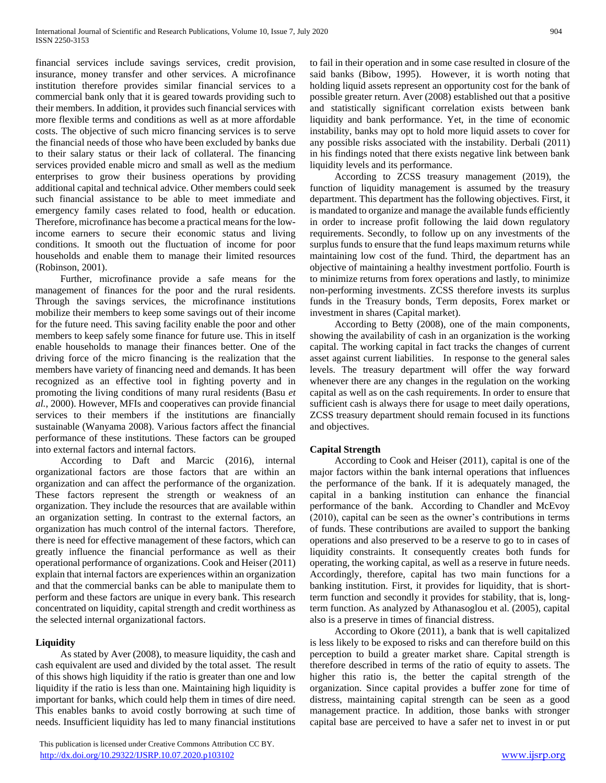financial services include savings services, credit provision, insurance, money transfer and other services. A microfinance institution therefore provides similar financial services to a commercial bank only that it is geared towards providing such to their members. In addition, it provides such financial services with more flexible terms and conditions as well as at more affordable costs. The objective of such micro financing services is to serve the financial needs of those who have been excluded by banks due to their salary status or their lack of collateral. The financing services provided enable micro and small as well as the medium enterprises to grow their business operations by providing additional capital and technical advice. Other members could seek such financial assistance to be able to meet immediate and emergency family cases related to food, health or education. Therefore, microfinance has become a practical means for the lowincome earners to secure their economic status and living conditions. It smooth out the fluctuation of income for poor households and enable them to manage their limited resources (Robinson, 2001).

 Further, microfinance provide a safe means for the management of finances for the poor and the rural residents. Through the savings services, the microfinance institutions mobilize their members to keep some savings out of their income for the future need. This saving facility enable the poor and other members to keep safely some finance for future use. This in itself enable households to manage their finances better. One of the driving force of the micro financing is the realization that the members have variety of financing need and demands. It has been recognized as an effective tool in fighting poverty and in promoting the living conditions of many rural residents (Basu *et al.*, 2000). However, MFIs and cooperatives can provide financial services to their members if the institutions are financially sustainable (Wanyama 2008). Various factors affect the financial performance of these institutions. These factors can be grouped into external factors and internal factors.

 According to Daft and Marcic (2016), internal organizational factors are those factors that are within an organization and can affect the performance of the organization. These factors represent the strength or weakness of an organization. They include the resources that are available within an organization setting. In contrast to the external factors, an organization has much control of the internal factors. Therefore, there is need for effective management of these factors, which can greatly influence the financial performance as well as their operational performance of organizations. Cook and Heiser (2011) explain that internal factors are experiences within an organization and that the commercial banks can be able to manipulate them to perform and these factors are unique in every bank. This research concentrated on liquidity, capital strength and credit worthiness as the selected internal organizational factors.

# **Liquidity**

 As stated by Aver (2008), to measure liquidity, the cash and cash equivalent are used and divided by the total asset. The result of this shows high liquidity if the ratio is greater than one and low liquidity if the ratio is less than one. Maintaining high liquidity is important for banks, which could help them in times of dire need. This enables banks to avoid costly borrowing at such time of needs. Insufficient liquidity has led to many financial institutions

 This publication is licensed under Creative Commons Attribution CC BY. <http://dx.doi.org/10.29322/IJSRP.10.07.2020.p103102> [www.ijsrp.org](http://ijsrp.org/)

to fail in their operation and in some case resulted in closure of the said banks (Bibow, 1995). However, it is worth noting that holding liquid assets represent an opportunity cost for the bank of possible greater return. Aver (2008) established out that a positive and statistically significant correlation exists between bank liquidity and bank performance. Yet, in the time of economic instability, banks may opt to hold more liquid assets to cover for any possible risks associated with the instability. Derbali (2011) in his findings noted that there exists negative link between bank liquidity levels and its performance.

 According to ZCSS treasury management (2019), the function of liquidity management is assumed by the treasury department. This department has the following objectives. First, it is mandated to organize and manage the available funds efficiently in order to increase profit following the laid down regulatory requirements. Secondly, to follow up on any investments of the surplus funds to ensure that the fund leaps maximum returns while maintaining low cost of the fund. Third, the department has an objective of maintaining a healthy investment portfolio. Fourth is to minimize returns from forex operations and lastly, to minimize non-performing investments. ZCSS therefore invests its surplus funds in the Treasury bonds, Term deposits, Forex market or investment in shares (Capital market).

 According to Betty (2008), one of the main components, showing the availability of cash in an organization is the working capital. The working capital in fact tracks the changes of current asset against current liabilities. In response to the general sales levels. The treasury department will offer the way forward whenever there are any changes in the regulation on the working capital as well as on the cash requirements. In order to ensure that sufficient cash is always there for usage to meet daily operations, ZCSS treasury department should remain focused in its functions and objectives.

# **Capital Strength**

 According to Cook and Heiser (2011), capital is one of the major factors within the bank internal operations that influences the performance of the bank. If it is adequately managed, the capital in a banking institution can enhance the financial performance of the bank. According to Chandler and McEvoy (2010), capital can be seen as the owner's contributions in terms of funds. These contributions are availed to support the banking operations and also preserved to be a reserve to go to in cases of liquidity constraints. It consequently creates both funds for operating, the working capital, as well as a reserve in future needs. Accordingly, therefore, capital has two main functions for a banking institution. First, it provides for liquidity, that is shortterm function and secondly it provides for stability, that is, longterm function. As analyzed by Athanasoglou et al. (2005), capital also is a preserve in times of financial distress.

 According to Okore (2011), a bank that is well capitalized is less likely to be exposed to risks and can therefore build on this perception to build a greater market share. Capital strength is therefore described in terms of the ratio of equity to assets. The higher this ratio is, the better the capital strength of the organization. Since capital provides a buffer zone for time of distress, maintaining capital strength can be seen as a good management practice. In addition, those banks with stronger capital base are perceived to have a safer net to invest in or put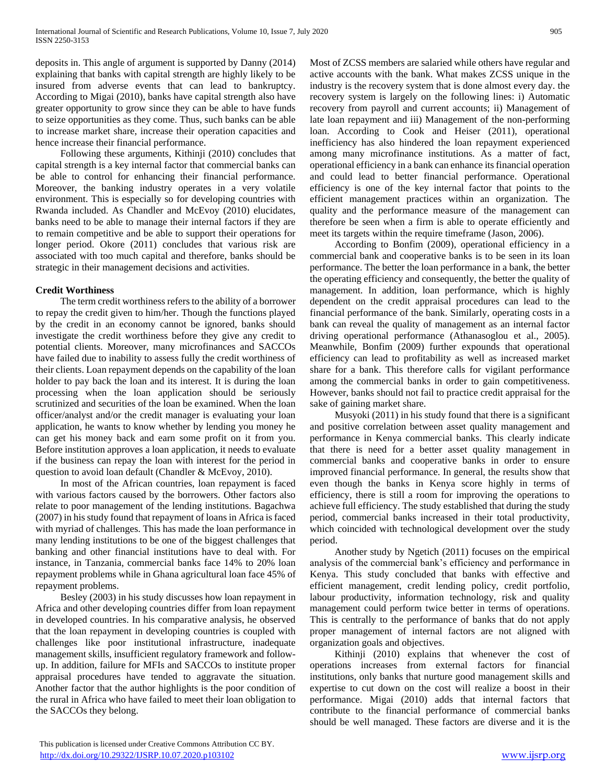deposits in. This angle of argument is supported by Danny (2014) explaining that banks with capital strength are highly likely to be insured from adverse events that can lead to bankruptcy. According to Migai (2010), banks have capital strength also have greater opportunity to grow since they can be able to have funds to seize opportunities as they come. Thus, such banks can be able to increase market share, increase their operation capacities and hence increase their financial performance.

 Following these arguments, Kithinji (2010) concludes that capital strength is a key internal factor that commercial banks can be able to control for enhancing their financial performance. Moreover, the banking industry operates in a very volatile environment. This is especially so for developing countries with Rwanda included. As Chandler and McEvoy (2010) elucidates, banks need to be able to manage their internal factors if they are to remain competitive and be able to support their operations for longer period. Okore (2011) concludes that various risk are associated with too much capital and therefore, banks should be strategic in their management decisions and activities.

#### **Credit Worthiness**

 The term credit worthiness refers to the ability of a borrower to repay the credit given to him/her. Though the functions played by the credit in an economy cannot be ignored, banks should investigate the credit worthiness before they give any credit to potential clients. Moreover, many microfinances and SACCOs have failed due to inability to assess fully the credit worthiness of their clients. Loan repayment depends on the capability of the loan holder to pay back the loan and its interest. It is during the loan processing when the loan application should be seriously scrutinized and securities of the loan be examined. When the loan officer/analyst and/or the credit manager is evaluating your loan application, he wants to know whether by lending you money he can get his money back and earn some profit on it from you. Before institution approves a loan application, it needs to evaluate if the business can repay the loan with interest for the period in question to avoid loan default (Chandler & McEvoy, 2010).

 In most of the African countries, loan repayment is faced with various factors caused by the borrowers. Other factors also relate to poor management of the lending institutions. Bagachwa (2007) in his study found that repayment of loans in Africa is faced with myriad of challenges. This has made the loan performance in many lending institutions to be one of the biggest challenges that banking and other financial institutions have to deal with. For instance, in Tanzania, commercial banks face 14% to 20% loan repayment problems while in Ghana agricultural loan face 45% of repayment problems.

 Besley (2003) in his study discusses how loan repayment in Africa and other developing countries differ from loan repayment in developed countries. In his comparative analysis, he observed that the loan repayment in developing countries is coupled with challenges like poor institutional infrastructure, inadequate management skills, insufficient regulatory framework and followup. In addition, failure for MFIs and SACCOs to institute proper appraisal procedures have tended to aggravate the situation. Another factor that the author highlights is the poor condition of the rural in Africa who have failed to meet their loan obligation to the SACCOs they belong.

Most of ZCSS members are salaried while others have regular and active accounts with the bank. What makes ZCSS unique in the industry is the recovery system that is done almost every day. the recovery system is largely on the following lines: i) Automatic recovery from payroll and current accounts; ii) Management of late loan repayment and iii) Management of the non-performing loan. According to Cook and Heiser (2011), operational inefficiency has also hindered the loan repayment experienced among many microfinance institutions. As a matter of fact, operational efficiency in a bank can enhance its financial operation and could lead to better financial performance. Operational efficiency is one of the key internal factor that points to the efficient management practices within an organization. The quality and the performance measure of the management can therefore be seen when a firm is able to operate efficiently and meet its targets within the require timeframe (Jason, 2006).

 According to Bonfim (2009), operational efficiency in a commercial bank and cooperative banks is to be seen in its loan performance. The better the loan performance in a bank, the better the operating efficiency and consequently, the better the quality of management. In addition, loan performance, which is highly dependent on the credit appraisal procedures can lead to the financial performance of the bank. Similarly, operating costs in a bank can reveal the quality of management as an internal factor driving operational performance (Athanasoglou et al., 2005). Meanwhile, Bonfim (2009) further expounds that operational efficiency can lead to profitability as well as increased market share for a bank. This therefore calls for vigilant performance among the commercial banks in order to gain competitiveness. However, banks should not fail to practice credit appraisal for the sake of gaining market share.

 Musyoki (2011) in his study found that there is a significant and positive correlation between asset quality management and performance in Kenya commercial banks. This clearly indicate that there is need for a better asset quality management in commercial banks and cooperative banks in order to ensure improved financial performance. In general, the results show that even though the banks in Kenya score highly in terms of efficiency, there is still a room for improving the operations to achieve full efficiency. The study established that during the study period, commercial banks increased in their total productivity, which coincided with technological development over the study period.

 Another study by Ngetich (2011) focuses on the empirical analysis of the commercial bank's efficiency and performance in Kenya. This study concluded that banks with effective and efficient management, credit lending policy, credit portfolio, labour productivity, information technology, risk and quality management could perform twice better in terms of operations. This is centrally to the performance of banks that do not apply proper management of internal factors are not aligned with organization goals and objectives.

 Kithinji (2010) explains that whenever the cost of operations increases from external factors for financial institutions, only banks that nurture good management skills and expertise to cut down on the cost will realize a boost in their performance. Migai (2010) adds that internal factors that contribute to the financial performance of commercial banks should be well managed. These factors are diverse and it is the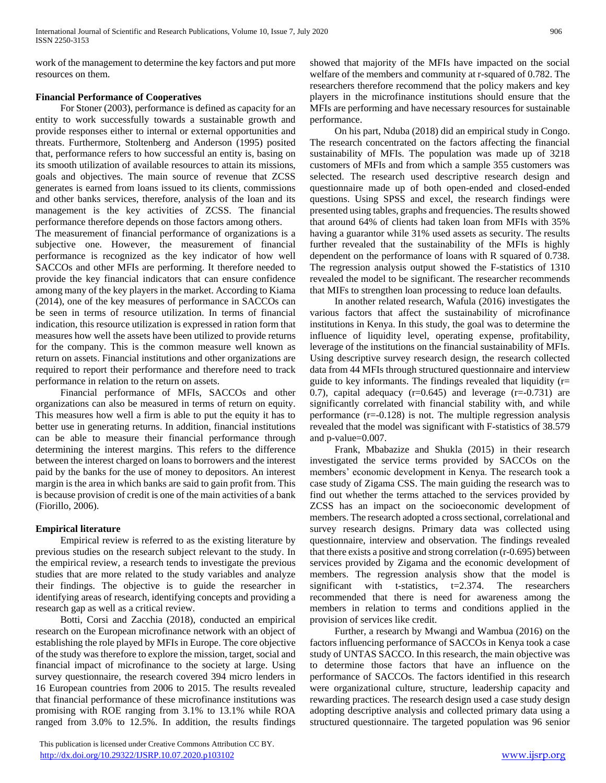work of the management to determine the key factors and put more resources on them.

## **Financial Performance of Cooperatives**

 For Stoner (2003), performance is defined as capacity for an entity to work successfully towards a sustainable growth and provide responses either to internal or external opportunities and threats. Furthermore, Stoltenberg and Anderson (1995) posited that, performance refers to how successful an entity is, basing on its smooth utilization of available resources to attain its missions, goals and objectives. The main source of revenue that ZCSS generates is earned from loans issued to its clients, commissions and other banks services, therefore, analysis of the loan and its management is the key activities of ZCSS. The financial performance therefore depends on those factors among others.

The measurement of financial performance of organizations is a subjective one. However, the measurement of financial performance is recognized as the key indicator of how well SACCOs and other MFIs are performing. It therefore needed to provide the key financial indicators that can ensure confidence among many of the key players in the market. According to Kiama (2014), one of the key measures of performance in SACCOs can be seen in terms of resource utilization. In terms of financial indication, this resource utilization is expressed in ration form that measures how well the assets have been utilized to provide returns for the company. This is the common measure well known as return on assets. Financial institutions and other organizations are required to report their performance and therefore need to track performance in relation to the return on assets.

 Financial performance of MFIs, SACCOs and other organizations can also be measured in terms of return on equity. This measures how well a firm is able to put the equity it has to better use in generating returns. In addition, financial institutions can be able to measure their financial performance through determining the interest margins. This refers to the difference between the interest charged on loans to borrowers and the interest paid by the banks for the use of money to depositors. An interest margin is the area in which banks are said to gain profit from. This is because provision of credit is one of the main activities of a bank (Fiorillo, 2006).

# **Empirical literature**

 Empirical review is referred to as the existing literature by previous studies on the research subject relevant to the study. In the empirical review, a research tends to investigate the previous studies that are more related to the study variables and analyze their findings. The objective is to guide the researcher in identifying areas of research, identifying concepts and providing a research gap as well as a critical review.

 Botti, Corsi and Zacchia (2018), conducted an empirical research on the European microfinance network with an object of establishing the role played by MFIs in Europe. The core objective of the study was therefore to explore the mission, target, social and financial impact of microfinance to the society at large. Using survey questionnaire, the research covered 394 micro lenders in 16 European countries from 2006 to 2015. The results revealed that financial performance of these microfinance institutions was promising with ROE ranging from 3.1% to 13.1% while ROA ranged from 3.0% to 12.5%. In addition, the results findings

 This publication is licensed under Creative Commons Attribution CC BY. <http://dx.doi.org/10.29322/IJSRP.10.07.2020.p103102> [www.ijsrp.org](http://ijsrp.org/)

showed that majority of the MFIs have impacted on the social welfare of the members and community at r-squared of 0.782. The researchers therefore recommend that the policy makers and key players in the microfinance institutions should ensure that the MFIs are performing and have necessary resources for sustainable performance.

 On his part, Nduba (2018) did an empirical study in Congo. The research concentrated on the factors affecting the financial sustainability of MFIs. The population was made up of 3218 customers of MFIs and from which a sample 355 customers was selected. The research used descriptive research design and questionnaire made up of both open-ended and closed-ended questions. Using SPSS and excel, the research findings were presented using tables, graphs and frequencies. The results showed that around 64% of clients had taken loan from MFIs with 35% having a guarantor while 31% used assets as security. The results further revealed that the sustainability of the MFIs is highly dependent on the performance of loans with R squared of 0.738. The regression analysis output showed the F-statistics of 1310 revealed the model to be significant. The researcher recommends that MIFs to strengthen loan processing to reduce loan defaults.

 In another related research, Wafula (2016) investigates the various factors that affect the sustainability of microfinance institutions in Kenya. In this study, the goal was to determine the influence of liquidity level, operating expense, profitability, leverage of the institutions on the financial sustainability of MFIs. Using descriptive survey research design, the research collected data from 44 MFIs through structured questionnaire and interview guide to key informants. The findings revealed that liquidity  $(r=$ 0.7), capital adequacy  $(r=0.645)$  and leverage  $(r=-0.731)$  are significantly correlated with financial stability with, and while performance  $(r=-0.128)$  is not. The multiple regression analysis revealed that the model was significant with F-statistics of 38.579 and p-value=0.007.

 Frank, Mbabazize and Shukla (2015) in their research investigated the service terms provided by SACCOs on the members' economic development in Kenya. The research took a case study of Zigama CSS. The main guiding the research was to find out whether the terms attached to the services provided by ZCSS has an impact on the socioeconomic development of members. The research adopted a cross sectional, correlational and survey research designs. Primary data was collected using questionnaire, interview and observation. The findings revealed that there exists a positive and strong correlation (r-0.695) between services provided by Zigama and the economic development of members. The regression analysis show that the model is significant with t-statistics, t=2.374. The researchers recommended that there is need for awareness among the members in relation to terms and conditions applied in the provision of services like credit.

 Further, a research by Mwangi and Wambua (2016) on the factors influencing performance of SACCOs in Kenya took a case study of UNTAS SACCO. In this research, the main objective was to determine those factors that have an influence on the performance of SACCOs. The factors identified in this research were organizational culture, structure, leadership capacity and rewarding practices. The research design used a case study design adopting descriptive analysis and collected primary data using a structured questionnaire. The targeted population was 96 senior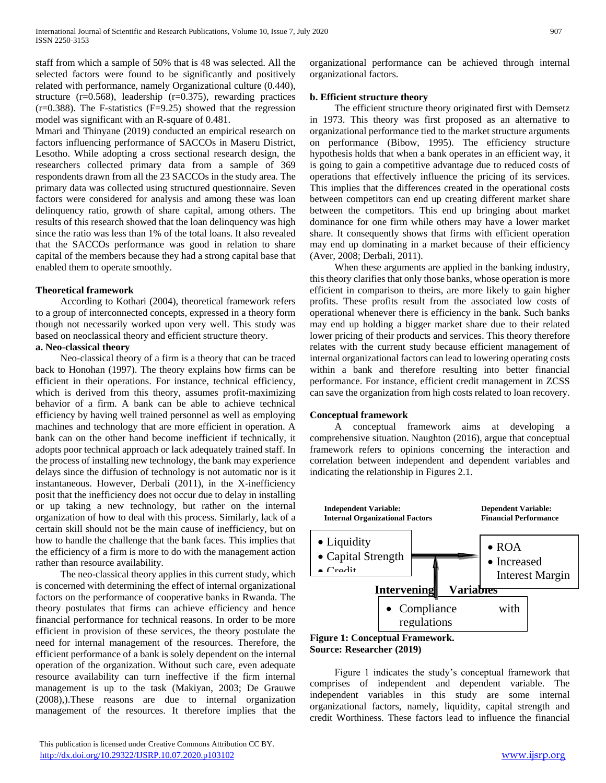staff from which a sample of 50% that is 48 was selected. All the selected factors were found to be significantly and positively related with performance, namely Organizational culture (0.440), structure (r=0.568), leadership (r=0.375), rewarding practices  $(r=0.388)$ . The F-statistics  $(F=9.25)$  showed that the regression model was significant with an R-square of 0.481.

Mmari and Thinyane (2019) conducted an empirical research on factors influencing performance of SACCOs in Maseru District, Lesotho. While adopting a cross sectional research design, the researchers collected primary data from a sample of 369 respondents drawn from all the 23 SACCOs in the study area. The primary data was collected using structured questionnaire. Seven factors were considered for analysis and among these was loan delinquency ratio, growth of share capital, among others. The results of this research showed that the loan delinquency was high since the ratio was less than 1% of the total loans. It also revealed that the SACCOs performance was good in relation to share capital of the members because they had a strong capital base that enabled them to operate smoothly.

#### **Theoretical framework**

 According to Kothari (2004), theoretical framework refers to a group of interconnected concepts, expressed in a theory form though not necessarily worked upon very well. This study was based on neoclassical theory and efficient structure theory.

#### **a. Neo-classical theory**

 Neo-classical theory of a firm is a theory that can be traced back to Honohan (1997). The theory explains how firms can be efficient in their operations. For instance, technical efficiency, which is derived from this theory, assumes profit-maximizing behavior of a firm. A bank can be able to achieve technical efficiency by having well trained personnel as well as employing machines and technology that are more efficient in operation. A bank can on the other hand become inefficient if technically, it adopts poor technical approach or lack adequately trained staff. In the process of installing new technology, the bank may experience delays since the diffusion of technology is not automatic nor is it instantaneous. However, Derbali (2011), in the X-inefficiency posit that the inefficiency does not occur due to delay in installing or up taking a new technology, but rather on the internal organization of how to deal with this process. Similarly, lack of a certain skill should not be the main cause of inefficiency, but on how to handle the challenge that the bank faces. This implies that the efficiency of a firm is more to do with the management action rather than resource availability.

 The neo-classical theory applies in this current study, which is concerned with determining the effect of internal organizational factors on the performance of cooperative banks in Rwanda. The theory postulates that firms can achieve efficiency and hence financial performance for technical reasons. In order to be more efficient in provision of these services, the theory postulate the need for internal management of the resources. Therefore, the efficient performance of a bank is solely dependent on the internal operation of the organization. Without such care, even adequate resource availability can turn ineffective if the firm internal management is up to the task (Makiyan, 2003; De Grauwe (2008),).These reasons are due to internal organization management of the resources. It therefore implies that the

organizational performance can be achieved through internal organizational factors.

## **b. Efficient structure theory**

 The efficient structure theory originated first with Demsetz in 1973. This theory was first proposed as an alternative to organizational performance tied to the market structure arguments on performance (Bibow, 1995). The efficiency structure hypothesis holds that when a bank operates in an efficient way, it is going to gain a competitive advantage due to reduced costs of operations that effectively influence the pricing of its services. This implies that the differences created in the operational costs between competitors can end up creating different market share between the competitors. This end up bringing about market dominance for one firm while others may have a lower market share. It consequently shows that firms with efficient operation may end up dominating in a market because of their efficiency (Aver, 2008; Derbali, 2011).

 When these arguments are applied in the banking industry, this theory clarifies that only those banks, whose operation is more efficient in comparison to theirs, are more likely to gain higher profits. These profits result from the associated low costs of operational whenever there is efficiency in the bank. Such banks may end up holding a bigger market share due to their related lower pricing of their products and services. This theory therefore relates with the current study because efficient management of internal organizational factors can lead to lowering operating costs within a bank and therefore resulting into better financial performance. For instance, efficient credit management in ZCSS can save the organization from high costs related to loan recovery.

#### **Conceptual framework**

 A conceptual framework aims at developing a comprehensive situation. Naughton (2016), argue that conceptual framework refers to opinions concerning the interaction and correlation between independent and dependent variables and indicating the relationship in Figures 2.1.



**Figure 1: Conceptual Framework. Source: Researcher (2019)**

 Figure 1 indicates the study's conceptual framework that comprises of independent and dependent variable. The independent variables in this study are some internal organizational factors, namely, liquidity, capital strength and credit Worthiness. These factors lead to influence the financial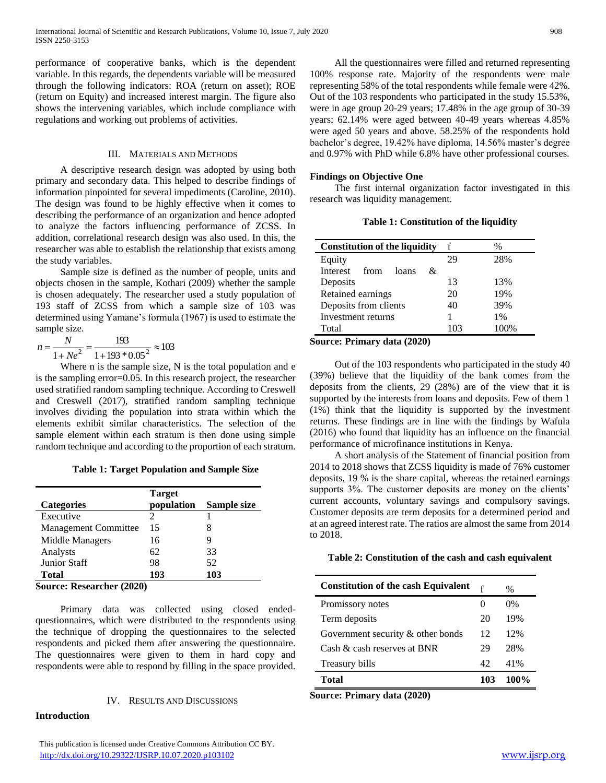performance of cooperative banks, which is the dependent variable. In this regards, the dependents variable will be measured through the following indicators: ROA (return on asset); ROE (return on Equity) and increased interest margin. The figure also shows the intervening variables, which include compliance with regulations and working out problems of activities.

#### III. MATERIALS AND METHODS

 A descriptive research design was adopted by using both primary and secondary data. This helped to describe findings of information pinpointed for several impediments (Caroline, 2010). The design was found to be highly effective when it comes to describing the performance of an organization and hence adopted to analyze the factors influencing performance of ZCSS. In addition, correlational research design was also used. In this, the researcher was able to establish the relationship that exists among the study variables.

 Sample size is defined as the number of people, units and objects chosen in the sample, Kothari (2009) whether the sample is chosen adequately. The researcher used a study population of 193 staff of ZCSS from which a sample size of 103 was determined using Yamane's formula (1967) is used to estimate the sample size.

$$
n = \frac{N}{1 + Ne^2} = \frac{193}{1 + 193 \cdot 0.05^2} \approx 103
$$

Where n is the sample size, N is the total population and e is the sampling error=0.05. In this research project, the researcher used stratified random sampling technique. According to Creswell and Creswell (2017), stratified random sampling technique involves dividing the population into strata within which the elements exhibit similar characteristics. The selection of the sample element within each stratum is then done using simple random technique and according to the proportion of each stratum.

**Table 1: Target Population and Sample Size**

| <b>Categories</b>                                 | <b>Target</b><br>population | Sample size |
|---------------------------------------------------|-----------------------------|-------------|
| Executive                                         | 2                           |             |
| <b>Management Committee</b>                       | 15                          |             |
| Middle Managers                                   | 16                          | 9           |
| Analysts                                          | 62                          | 33          |
| <b>Junior Staff</b>                               | 98                          | 52          |
| <b>Total</b>                                      | 193                         | 103         |
| $\mathcal{L}_{\text{correspond}}$ December (2020) |                             |             |

**Source: Researcher (2020)**

 Primary data was collected using closed endedquestionnaires, which were distributed to the respondents using the technique of dropping the questionnaires to the selected respondents and picked them after answering the questionnaire. The questionnaires were given to them in hard copy and respondents were able to respond by filling in the space provided.

#### IV. RESULTS AND DISCUSSIONS

#### **Introduction**

 This publication is licensed under Creative Commons Attribution CC BY. <http://dx.doi.org/10.29322/IJSRP.10.07.2020.p103102> [www.ijsrp.org](http://ijsrp.org/)

 All the questionnaires were filled and returned representing 100% response rate. Majority of the respondents were male representing 58% of the total respondents while female were 42%. Out of the 103 respondents who participated in the study 15.53%, were in age group 20-29 years; 17.48% in the age group of 30-39 years; 62.14% were aged between 40-49 years whereas 4.85% were aged 50 years and above. 58.25% of the respondents hold bachelor's degree, 19.42% have diploma, 14.56% master's degree and 0.97% with PhD while 6.8% have other professional courses.

#### **Findings on Objective One**

 The first internal organization factor investigated in this research was liquidity management.

**Table 1: Constitution of the liquidity**

| <b>Constitution of the liquidity</b>            |     | %     |
|-------------------------------------------------|-----|-------|
| Equity                                          | 29  | 28%   |
| Interest from<br>loans<br>&                     |     |       |
| Deposits                                        | 13  | 13%   |
| Retained earnings                               | 20  | 19%   |
| Deposits from clients                           | 40  | 39%   |
| Investment returns                              |     | $1\%$ |
| Total                                           | 103 | 100%  |
| $\sim$ 0.000 mga pagawarang $d_{\alpha}$ (2020) |     |       |

**Source: Primary data (2020)**

 Out of the 103 respondents who participated in the study 40 (39%) believe that the liquidity of the bank comes from the deposits from the clients, 29 (28%) are of the view that it is supported by the interests from loans and deposits. Few of them 1 (1%) think that the liquidity is supported by the investment returns. These findings are in line with the findings by Wafula (2016) who found that liquidity has an influence on the financial performance of microfinance institutions in Kenya.

 A short analysis of the Statement of financial position from 2014 to 2018 shows that ZCSS liquidity is made of 76% customer deposits, 19 % is the share capital, whereas the retained earnings supports 3%. The customer deposits are money on the clients' current accounts, voluntary savings and compulsory savings. Customer deposits are term deposits for a determined period and at an agreed interest rate. The ratios are almost the same from 2014 to 2018.

#### **Table 2: Constitution of the cash and cash equivalent**

| <b>Constitution of the cash Equivalent</b> | f                 | $\frac{0}{0}$ |
|--------------------------------------------|-------------------|---------------|
| Promissory notes                           | $\mathbf{\Omega}$ | 0%            |
| Term deposits                              | 20                | 19%           |
| Government security $\&$ other bonds       | 12                | 12%           |
| Cash & cash reserves at BNR                | 29                | 28%           |
| Treasury bills                             | 42                | 41%           |
| Total                                      | 103               | 100%          |

**Source: Primary data (2020)**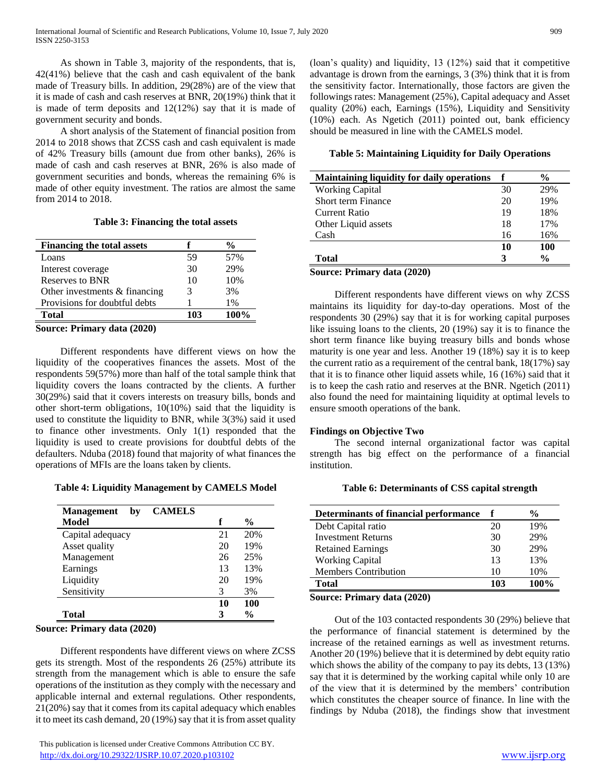As shown in Table 3, majority of the respondents, that is, 42(41%) believe that the cash and cash equivalent of the bank made of Treasury bills. In addition, 29(28%) are of the view that it is made of cash and cash reserves at BNR, 20(19%) think that it is made of term deposits and 12(12%) say that it is made of government security and bonds.

 A short analysis of the Statement of financial position from 2014 to 2018 shows that ZCSS cash and cash equivalent is made of 42% Treasury bills (amount due from other banks), 26% is made of cash and cash reserves at BNR, 26% is also made of government securities and bonds, whereas the remaining 6% is made of other equity investment. The ratios are almost the same from 2014 to 2018.

|  | Table 3: Financing the total assets |  |  |  |
|--|-------------------------------------|--|--|--|
|--|-------------------------------------|--|--|--|

| <b>Financing the total assets</b> |     | $\frac{0}{0}$ |
|-----------------------------------|-----|---------------|
| Loans                             | 59  | 57%           |
| Interest coverage                 | 30  | 29%           |
| Reserves to BNR                   | 10  | 10%           |
| Other investments $&$ financing   | 3   | 3%            |
| Provisions for doubtful debts     |     | 1%            |
| <b>Total</b>                      | 103 | 100%          |
| Roupey Drimow, data (2020)        |     |               |

**Source: Primary data (2020)**

 Different respondents have different views on how the liquidity of the cooperatives finances the assets. Most of the respondents 59(57%) more than half of the total sample think that liquidity covers the loans contracted by the clients. A further 30(29%) said that it covers interests on treasury bills, bonds and other short-term obligations, 10(10%) said that the liquidity is used to constitute the liquidity to BNR, while 3(3%) said it used to finance other investments. Only 1(1) responded that the liquidity is used to create provisions for doubtful debts of the defaulters. Nduba (2018) found that majority of what finances the operations of MFIs are the loans taken by clients.

**Table 4: Liquidity Management by CAMELS Model**

| <b>CAMELS</b><br><b>Management</b><br>bv |    |               |
|------------------------------------------|----|---------------|
| Model                                    | f  | $\frac{6}{9}$ |
| Capital adequacy                         | 21 | 20%           |
| Asset quality                            | 20 | 19%           |
| Management                               | 26 | 25%           |
| Earnings                                 | 13 | 13%           |
| Liquidity                                | 20 | 19%           |
| Sensitivity                              | 3  | 3%            |
|                                          | 10 | 100           |
| Total                                    | З  | $\frac{0}{0}$ |

**Source: Primary data (2020)**

 Different respondents have different views on where ZCSS gets its strength. Most of the respondents 26 (25%) attribute its strength from the management which is able to ensure the safe operations of the institution as they comply with the necessary and applicable internal and external regulations. Other respondents, 21(20%) say that it comes from its capital adequacy which enables it to meet its cash demand, 20 (19%) say that it is from asset quality

 This publication is licensed under Creative Commons Attribution CC BY. <http://dx.doi.org/10.29322/IJSRP.10.07.2020.p103102> [www.ijsrp.org](http://ijsrp.org/)

(loan's quality) and liquidity, 13 (12%) said that it competitive advantage is drown from the earnings, 3 (3%) think that it is from the sensitivity factor. Internationally, those factors are given the followings rates: Management (25%), Capital adequacy and Asset quality (20%) each, Earnings (15%), Liquidity and Sensitivity (10%) each. As Ngetich (2011) pointed out, bank efficiency should be measured in line with the CAMELS model.

**Table 5: Maintaining Liquidity for Daily Operations**

| <b>Maintaining liquidity for daily operations</b> |    | $\frac{6}{9}$ |
|---------------------------------------------------|----|---------------|
| <b>Working Capital</b>                            | 30 | 29%           |
| Short term Finance                                | 20 | 19%           |
| Current Ratio                                     | 19 | 18%           |
| Other Liquid assets                               | 18 | 17%           |
| Cash                                              | 16 | 16%           |
|                                                   | 10 | 100           |
| <b>Total</b>                                      | 3  | $\frac{0}{0}$ |
| $C_{\text{max}}$ . Define the deal (2020)         |    |               |

**Source: Primary data (2020)**

 Different respondents have different views on why ZCSS maintains its liquidity for day-to-day operations. Most of the respondents 30 (29%) say that it is for working capital purposes like issuing loans to the clients, 20 (19%) say it is to finance the short term finance like buying treasury bills and bonds whose maturity is one year and less. Another 19 (18%) say it is to keep the current ratio as a requirement of the central bank, 18(17%) say that it is to finance other liquid assets while, 16 (16%) said that it is to keep the cash ratio and reserves at the BNR. Ngetich (2011) also found the need for maintaining liquidity at optimal levels to ensure smooth operations of the bank.

#### **Findings on Objective Two**

 The second internal organizational factor was capital strength has big effect on the performance of a financial institution.

| Table 6: Determinants of CSS capital strength |  |  |  |  |
|-----------------------------------------------|--|--|--|--|
|-----------------------------------------------|--|--|--|--|

| <b>Determinants of financial performance</b> | f   | $\frac{0}{0}$ |
|----------------------------------------------|-----|---------------|
| Debt Capital ratio                           | 20  | 19%           |
| <b>Investment Returns</b>                    | 30  | 29%           |
| <b>Retained Earnings</b>                     | 30  | 29%           |
| <b>Working Capital</b>                       | 13  | 13%           |
| <b>Members Contribution</b>                  | 10  | 10%           |
| Total                                        | 103 | 100%          |

**Source: Primary data (2020)**

 Out of the 103 contacted respondents 30 (29%) believe that the performance of financial statement is determined by the increase of the retained earnings as well as investment returns. Another 20 (19%) believe that it is determined by debt equity ratio which shows the ability of the company to pay its debts, 13 (13%) say that it is determined by the working capital while only 10 are of the view that it is determined by the members' contribution which constitutes the cheaper source of finance. In line with the findings by Nduba (2018), the findings show that investment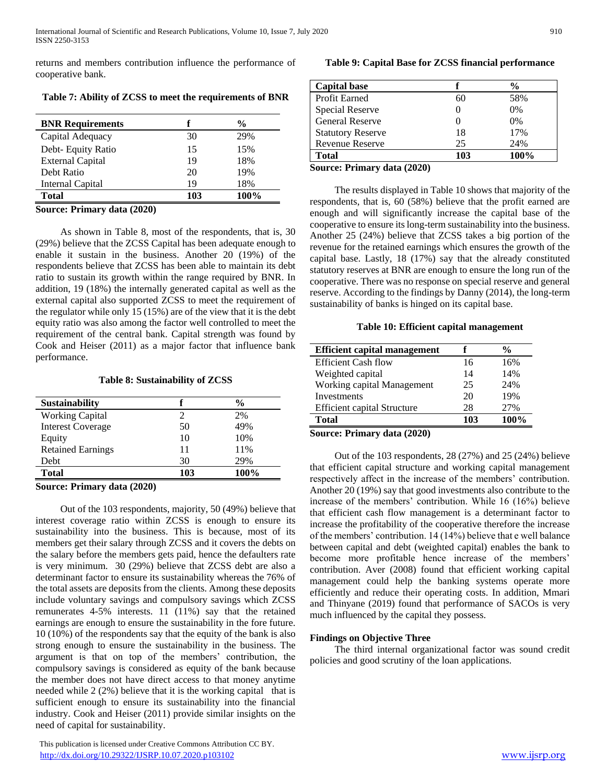returns and members contribution influence the performance of cooperative bank.

**Table 7: Ability of ZCSS to meet the requirements of BNR**

| <b>BNR</b> Requirements | f   | $\frac{0}{0}$ |
|-------------------------|-----|---------------|
| Capital Adequacy        | 30  | 29%           |
| Debt- Equity Ratio      | 15  | 15%           |
| <b>External Capital</b> | 19  | 18%           |
| Debt Ratio              | 20  | 19%           |
| Internal Capital        | 19  | 18%           |
| Total                   | 103 | 100%          |

**Source: Primary data (2020)**

 As shown in Table 8, most of the respondents, that is, 30 (29%) believe that the ZCSS Capital has been adequate enough to enable it sustain in the business. Another 20 (19%) of the respondents believe that ZCSS has been able to maintain its debt ratio to sustain its growth within the range required by BNR. In addition, 19 (18%) the internally generated capital as well as the external capital also supported ZCSS to meet the requirement of the regulator while only 15 (15%) are of the view that it is the debt equity ratio was also among the factor well controlled to meet the requirement of the central bank. Capital strength was found by Cook and Heiser (2011) as a major factor that influence bank performance.

#### **Table 8: Sustainability of ZCSS**

| <b>Sustainability</b>    |     | $\frac{6}{9}$ |
|--------------------------|-----|---------------|
| <b>Working Capital</b>   | 2   | 2%            |
| <b>Interest Coverage</b> | 50  | 49%           |
| Equity                   | 10  | 10%           |
| <b>Retained Earnings</b> | 11  | 11%           |
| Debt                     | 30  | 29%           |
| <b>Total</b>             | 103 | 100%          |

**Source: Primary data (2020)**

 Out of the 103 respondents, majority, 50 (49%) believe that interest coverage ratio within ZCSS is enough to ensure its sustainability into the business. This is because, most of its members get their salary through ZCSS and it covers the debts on the salary before the members gets paid, hence the defaulters rate is very minimum. 30 (29%) believe that ZCSS debt are also a determinant factor to ensure its sustainability whereas the 76% of the total assets are deposits from the clients. Among these deposits include voluntary savings and compulsory savings which ZCSS remunerates 4-5% interests. 11 (11%) say that the retained earnings are enough to ensure the sustainability in the fore future. 10 (10%) of the respondents say that the equity of the bank is also strong enough to ensure the sustainability in the business. The argument is that on top of the members' contribution, the compulsory savings is considered as equity of the bank because the member does not have direct access to that money anytime needed while 2 (2%) believe that it is the working capital that is sufficient enough to ensure its sustainability into the financial industry. Cook and Heiser (2011) provide similar insights on the need of capital for sustainability.

## **Table 9: Capital Base for ZCSS financial performance**

|     | $\frac{6}{9}$ |
|-----|---------------|
| 60  | 58%           |
|     | $0\%$         |
|     | $0\%$         |
| 18  | 17%           |
| 25  | 24%           |
| 103 | 100%          |
|     |               |

**Source: Primary data (2020)**

 The results displayed in Table 10 shows that majority of the respondents, that is, 60 (58%) believe that the profit earned are enough and will significantly increase the capital base of the cooperative to ensure its long-term sustainability into the business. Another 25 (24%) believe that ZCSS takes a big portion of the revenue for the retained earnings which ensures the growth of the capital base. Lastly, 18 (17%) say that the already constituted statutory reserves at BNR are enough to ensure the long run of the cooperative. There was no response on special reserve and general reserve. According to the findings by Danny (2014), the long-term sustainability of banks is hinged on its capital base.

#### **Table 10: Efficient capital management**

| <b>Efficient capital management</b> |     | $\frac{0}{0}$ |
|-------------------------------------|-----|---------------|
| <b>Efficient Cash flow</b>          | 16  | 16%           |
| Weighted capital                    | 14  | 14%           |
| Working capital Management          | 25  | 24%           |
| Investments                         | 20  | 19%           |
| <b>Efficient capital Structure</b>  | 28  | 27%           |
| <b>Total</b>                        | 103 | 100%          |
|                                     |     |               |

# **Source: Primary data (2020)**

 Out of the 103 respondents, 28 (27%) and 25 (24%) believe that efficient capital structure and working capital management respectively affect in the increase of the members' contribution. Another 20 (19%) say that good investments also contribute to the increase of the members' contribution. While 16 (16%) believe that efficient cash flow management is a determinant factor to increase the profitability of the cooperative therefore the increase of the members' contribution. 14 (14%) believe that e well balance between capital and debt (weighted capital) enables the bank to become more profitable hence increase of the members' contribution. Aver (2008) found that efficient working capital management could help the banking systems operate more efficiently and reduce their operating costs. In addition, Mmari and Thinyane (2019) found that performance of SACOs is very much influenced by the capital they possess.

# **Findings on Objective Three**

 The third internal organizational factor was sound credit policies and good scrutiny of the loan applications.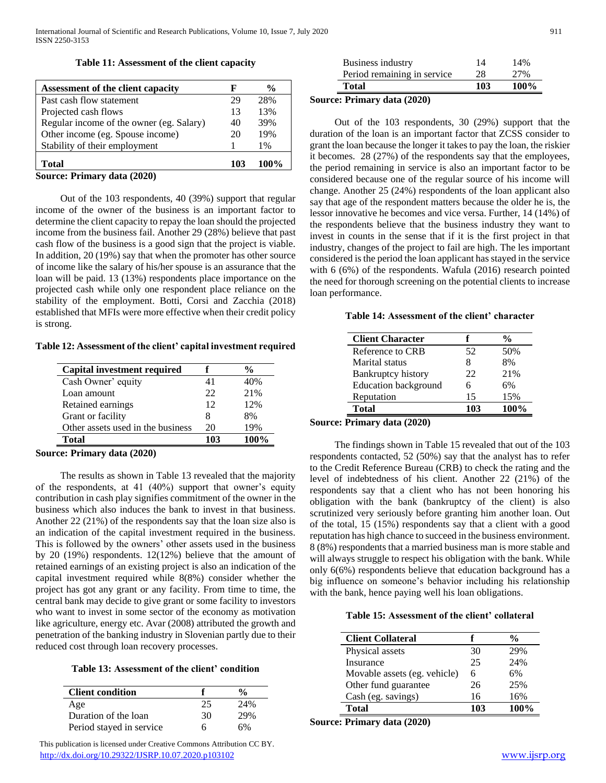**Table 11: Assessment of the client capacity**

| Assessment of the client capacity        | F   | $\frac{0}{0}$ |
|------------------------------------------|-----|---------------|
| Past cash flow statement                 | 29  | 28%           |
| Projected cash flows                     | 13  | 13%           |
| Regular income of the owner (eg. Salary) | 40  | 39%           |
| Other income (eg. Spouse income)         | 20  | 19%           |
| Stability of their employment            |     | $1\%$         |
| <b>Total</b>                             | 103 | 100%          |
| Source: Primary data (2020)              |     |               |

 Out of the 103 respondents, 40 (39%) support that regular income of the owner of the business is an important factor to determine the client capacity to repay the loan should the projected income from the business fail. Another 29 (28%) believe that past cash flow of the business is a good sign that the project is viable. In addition, 20 (19%) say that when the promoter has other source of income like the salary of his/her spouse is an assurance that the loan will be paid. 13 (13%) respondents place importance on the projected cash while only one respondent place reliance on the stability of the employment. Botti, Corsi and Zacchia (2018) established that MFIs were more effective when their credit policy is strong.

**Table 12: Assessment of the client' capital investment required**

| <b>Capital investment required</b> |     | $\frac{6}{9}$ |
|------------------------------------|-----|---------------|
| Cash Owner' equity                 | 41  | 40%           |
| Loan amount                        | 22  | 21%           |
| Retained earnings                  | 12  | 12%           |
| Grant or facility                  | 8   | 8%            |
| Other assets used in the business  | 20  | 19%           |
| <b>Total</b>                       | 103 | 100%          |

**Source: Primary data (2020)**

 The results as shown in Table 13 revealed that the majority of the respondents, at 41 (40%) support that owner's equity contribution in cash play signifies commitment of the owner in the business which also induces the bank to invest in that business. Another 22 (21%) of the respondents say that the loan size also is an indication of the capital investment required in the business. This is followed by the owners' other assets used in the business by 20 (19%) respondents. 12(12%) believe that the amount of retained earnings of an existing project is also an indication of the capital investment required while 8(8%) consider whether the project has got any grant or any facility. From time to time, the central bank may decide to give grant or some facility to investors who want to invest in some sector of the economy as motivation like agriculture, energy etc. Avar (2008) attributed the growth and penetration of the banking industry in Slovenian partly due to their reduced cost through loan recovery processes.

**Table 13: Assessment of the client' condition**

| <b>Client condition</b>  |    | $\frac{0}{0}$ |
|--------------------------|----|---------------|
| Age                      | 25 | 24%           |
| Duration of the loan     | 30 | 29%           |
| Period stayed in service | h  | 6%            |

 This publication is licensed under Creative Commons Attribution CC BY. <http://dx.doi.org/10.29322/IJSRP.10.07.2020.p103102> [www.ijsrp.org](http://ijsrp.org/)

| <b>Total</b>                | 103 | $100\%$ |
|-----------------------------|-----|---------|
| Period remaining in service | 28  | 27%     |
| Business industry           | 14  | 14%     |

## **Source: Primary data (2020)**

 Out of the 103 respondents, 30 (29%) support that the duration of the loan is an important factor that ZCSS consider to grant the loan because the longer it takes to pay the loan, the riskier it becomes. 28 (27%) of the respondents say that the employees, the period remaining in service is also an important factor to be considered because one of the regular source of his income will change. Another 25 (24%) respondents of the loan applicant also say that age of the respondent matters because the older he is, the lessor innovative he becomes and vice versa. Further, 14 (14%) of the respondents believe that the business industry they want to invest in counts in the sense that if it is the first project in that industry, changes of the project to fail are high. The les important considered is the period the loan applicant has stayed in the service with 6 (6%) of the respondents. Wafula (2016) research pointed the need for thorough screening on the potential clients to increase loan performance.

#### **Table 14: Assessment of the client' character**

|     | $\frac{0}{0}$ |
|-----|---------------|
| 52  | 50%           |
| x   | 8%            |
| 22  | 21%           |
| 6   | 6%            |
| 15  | 15%           |
| 103 | 100%          |
|     |               |

#### **Source: Primary data (2020)**

 The findings shown in Table 15 revealed that out of the 103 respondents contacted, 52 (50%) say that the analyst has to refer to the Credit Reference Bureau (CRB) to check the rating and the level of indebtedness of his client. Another 22 (21%) of the respondents say that a client who has not been honoring his obligation with the bank (bankruptcy of the client) is also scrutinized very seriously before granting him another loan. Out of the total, 15 (15%) respondents say that a client with a good reputation has high chance to succeed in the business environment. 8 (8%) respondents that a married business man is more stable and will always struggle to respect his obligation with the bank. While only 6(6%) respondents believe that education background has a big influence on someone's behavior including his relationship with the bank, hence paying well his loan obligations.

#### **Table 15: Assessment of the client' collateral**

| <b>Client Collateral</b>     |     | $\frac{6}{9}$ |
|------------------------------|-----|---------------|
| Physical assets              | 30  | 29%           |
| Insurance                    | 25  | 24%           |
| Movable assets (eg. vehicle) | 6   | 6%            |
| Other fund guarantee         | 26  | 25%           |
| Cash (eg. savings)           | 16  | 16%           |
| <b>Total</b>                 | 103 | 100%          |

**Source: Primary data (2020)**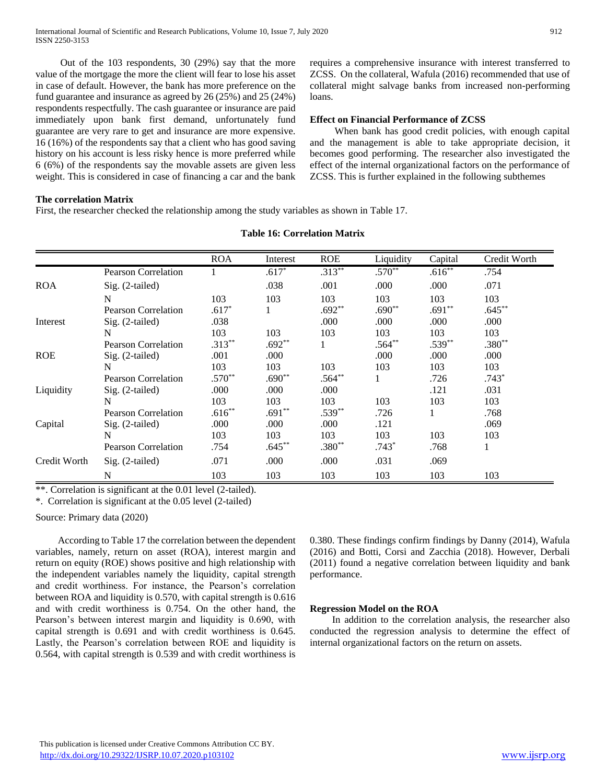Out of the 103 respondents, 30 (29%) say that the more value of the mortgage the more the client will fear to lose his asset in case of default. However, the bank has more preference on the fund guarantee and insurance as agreed by 26 (25%) and 25 (24%) respondents respectfully. The cash guarantee or insurance are paid immediately upon bank first demand, unfortunately fund guarantee are very rare to get and insurance are more expensive. 16 (16%) of the respondents say that a client who has good saving history on his account is less risky hence is more preferred while 6 (6%) of the respondents say the movable assets are given less weight. This is considered in case of financing a car and the bank

requires a comprehensive insurance with interest transferred to ZCSS. On the collateral, Wafula (2016) recommended that use of collateral might salvage banks from increased non-performing loans.

#### **Effect on Financial Performance of ZCSS**

 When bank has good credit policies, with enough capital and the management is able to take appropriate decision, it becomes good performing. The researcher also investigated the effect of the internal organizational factors on the performance of ZCSS. This is further explained in the following subthemes

#### **The correlation Matrix**

First, the researcher checked the relationship among the study variables as shown in Table 17.

|              |                            | <b>ROA</b> | Interest | <b>ROE</b> | Liquidity | Capital  | Credit Worth |
|--------------|----------------------------|------------|----------|------------|-----------|----------|--------------|
|              | <b>Pearson Correlation</b> |            | $.617*$  | $.313**$   | $.570**$  | $.616**$ | .754         |
| <b>ROA</b>   | $Sig. (2-tailed)$          |            | .038     | .001       | .000      | .000     | .071         |
|              | N                          | 103        | 103      | 103        | 103       | 103      | 103          |
|              | <b>Pearson Correlation</b> | $.617*$    | 1        | $.692**$   | $.690**$  | $.691**$ | $.645**$     |
| Interest     | $Sig. (2-tailed)$          | .038       |          | .000       | .000      | .000     | .000         |
|              | N                          | 103        | 103      | 103        | 103       | 103      | 103          |
|              | <b>Pearson Correlation</b> | $.313**$   | $.692**$ | $\perp$    | $.564**$  | $.539**$ | $.380**$     |
| <b>ROE</b>   | $Sig. (2-tailed)$          | .001       | .000     |            | .000      | .000     | .000         |
|              | N                          | 103        | 103      | 103        | 103       | 103      | 103          |
|              | <b>Pearson Correlation</b> | $.570**$   | $.690**$ | $.564**$   |           | .726     | $.743*$      |
| Liquidity    | $Sig. (2-tailed)$          | .000       | .000     | .000       |           | .121     | .031         |
|              | N                          | 103        | 103      | 103        | 103       | 103      | 103          |
|              | <b>Pearson Correlation</b> | $.616**$   | $.691**$ | $.539**$   | .726      |          | .768         |
| Capital      | $Sig. (2-tailed)$          | .000       | .000     | .000       | .121      |          | .069         |
|              | N                          | 103        | 103      | 103        | 103       | 103      | 103          |
|              | <b>Pearson Correlation</b> | .754       | $.645**$ | $.380**$   | $.743*$   | .768     |              |
| Credit Worth | Sig. (2-tailed)            | .071       | .000     | .000       | .031      | .069     |              |
|              | N                          | 103        | 103      | 103        | 103       | 103      | 103          |

#### **Table 16: Correlation Matrix**

\*\*. Correlation is significant at the 0.01 level (2-tailed).

\*. Correlation is significant at the 0.05 level (2-tailed)

Source: Primary data (2020)

 According to Table 17 the correlation between the dependent variables, namely, return on asset (ROA), interest margin and return on equity (ROE) shows positive and high relationship with the independent variables namely the liquidity, capital strength and credit worthiness. For instance, the Pearson's correlation between ROA and liquidity is 0.570, with capital strength is 0.616 and with credit worthiness is 0.754. On the other hand, the Pearson's between interest margin and liquidity is 0.690, with capital strength is 0.691 and with credit worthiness is 0.645. Lastly, the Pearson's correlation between ROE and liquidity is 0.564, with capital strength is 0.539 and with credit worthiness is 0.380. These findings confirm findings by Danny (2014), Wafula (2016) and Botti, Corsi and Zacchia (2018). However, Derbali (2011) found a negative correlation between liquidity and bank performance.

#### **Regression Model on the ROA**

 In addition to the correlation analysis, the researcher also conducted the regression analysis to determine the effect of internal organizational factors on the return on assets.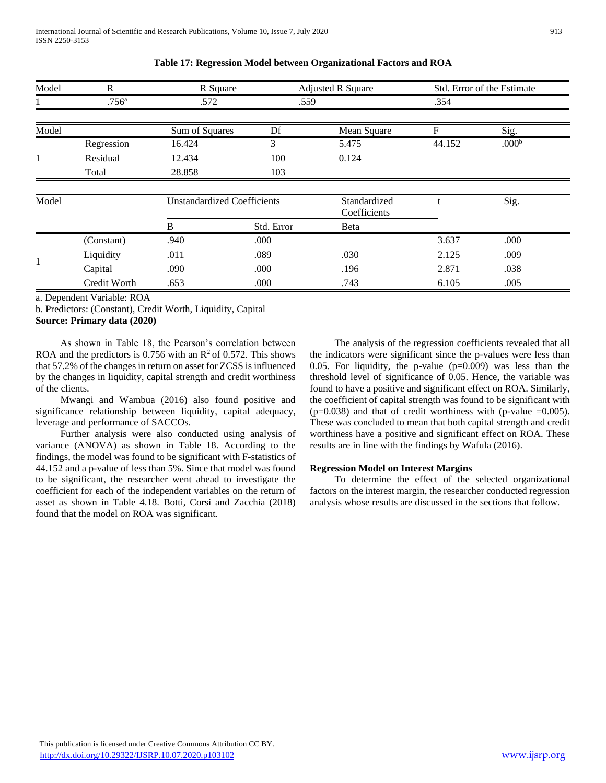| Model | R<br>R Square  |                                    | <b>Adjusted R Square</b> | Std. Error of the Estimate   |        |                   |  |
|-------|----------------|------------------------------------|--------------------------|------------------------------|--------|-------------------|--|
|       | $.756^{\rm a}$ | .572                               | .559                     |                              | .354   |                   |  |
| Model |                | Sum of Squares                     | Df                       | Mean Square                  | F      | Sig.              |  |
|       | Regression     | 16.424                             | 3                        | 5.475                        | 44.152 | .000 <sup>b</sup> |  |
| 1     | Residual       | 12.434                             | 100                      | 0.124                        |        |                   |  |
|       | Total          | 28.858                             | 103                      |                              |        |                   |  |
|       |                |                                    |                          |                              |        |                   |  |
| Model |                | <b>Unstandardized Coefficients</b> |                          | Standardized<br>Coefficients |        | Sig.              |  |
|       |                | B                                  | Std. Error               | Beta                         |        |                   |  |
|       | (Constant)     | .940                               | .000                     |                              | 3.637  | .000              |  |
| 1     | Liquidity      | .011                               | .089                     | .030                         | 2.125  | .009              |  |
|       | Capital        | .090                               | .000                     | .196                         | 2.871  | .038              |  |
|       | Credit Worth   | .653                               | .000                     | .743                         | 6.105  | .005              |  |

**Table 17: Regression Model between Organizational Factors and ROA**

a. Dependent Variable: ROA

b. Predictors: (Constant), Credit Worth, Liquidity, Capital **Source: Primary data (2020)**

 As shown in Table 18, the Pearson's correlation between ROA and the predictors is 0.756 with an  $\mathbb{R}^2$  of 0.572. This shows that 57.2% of the changes in return on asset for ZCSS is influenced by the changes in liquidity, capital strength and credit worthiness of the clients.

 Mwangi and Wambua (2016) also found positive and significance relationship between liquidity, capital adequacy, leverage and performance of SACCOs.

 Further analysis were also conducted using analysis of variance (ANOVA) as shown in Table 18. According to the findings, the model was found to be significant with F-statistics of 44.152 and a p-value of less than 5%. Since that model was found to be significant, the researcher went ahead to investigate the coefficient for each of the independent variables on the return of asset as shown in Table 4.18. Botti, Corsi and Zacchia (2018) found that the model on ROA was significant.

 The analysis of the regression coefficients revealed that all the indicators were significant since the p-values were less than 0.05. For liquidity, the p-value (p=0.009) was less than the threshold level of significance of 0.05. Hence, the variable was found to have a positive and significant effect on ROA. Similarly, the coefficient of capital strength was found to be significant with  $(p=0.038)$  and that of credit worthiness with (p-value  $=0.005$ ). These was concluded to mean that both capital strength and credit worthiness have a positive and significant effect on ROA. These results are in line with the findings by Wafula (2016).

#### **Regression Model on Interest Margins**

 To determine the effect of the selected organizational factors on the interest margin, the researcher conducted regression analysis whose results are discussed in the sections that follow.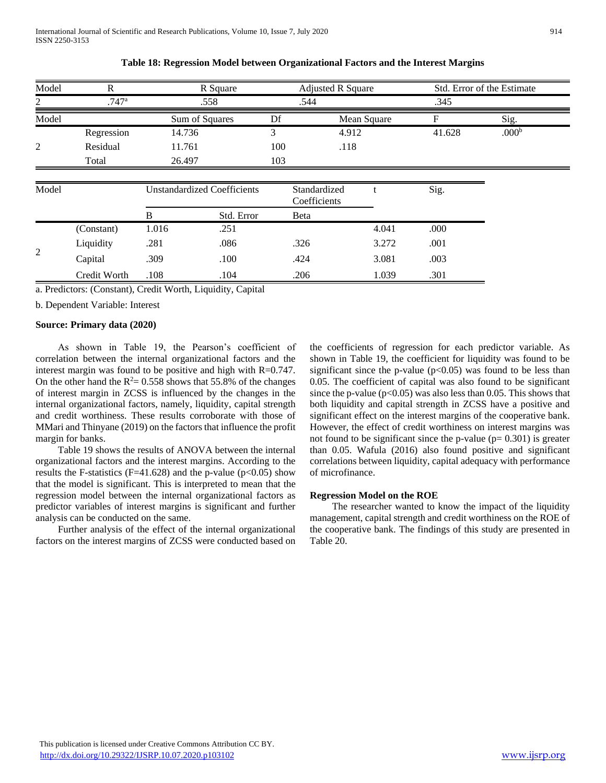| Model | R          | R Square                           |      | <b>Adjusted R Square</b>     |        | Std. Error of the Estimate |
|-------|------------|------------------------------------|------|------------------------------|--------|----------------------------|
| 2     | .747a      | .558                               | .544 |                              | .345   |                            |
| Model |            | Sum of Squares                     | Df   | Mean Square                  | F      | Sig.                       |
|       | Regression | 14.736                             |      | 4.912                        | 41.628 | .000 <sup>b</sup>          |
| 2     | Residual   | 11.761                             | 100  | .118                         |        |                            |
|       | Total      | 26.497                             | 103  |                              |        |                            |
| Model |            | <b>Unstandardized Coefficients</b> |      | Standardized<br>Coefficients | Sig.   |                            |

**Table 18: Regression Model between Organizational Factors and the Interest Margins**

| Model          |              |       | <b>Unstandardized Coefficients</b> | Standardized<br>Coefficients |       | Sig. |  |
|----------------|--------------|-------|------------------------------------|------------------------------|-------|------|--|
|                |              | B     | Std. Error                         | Beta                         |       |      |  |
| $\overline{2}$ | (Constant)   | 1.016 | .251                               |                              | 4.041 | .000 |  |
|                | Liquidity    | .281  | .086                               | .326                         | 3.272 | .001 |  |
|                | Capital      | .309  | .100                               | .424                         | 3.081 | .003 |  |
|                | Credit Worth | .108  | .104                               | .206                         | 1.039 | .301 |  |

a. Predictors: (Constant), Credit Worth, Liquidity, Capital

b. Dependent Variable: Interest

#### **Source: Primary data (2020)**

 As shown in Table 19, the Pearson's coefficient of correlation between the internal organizational factors and the interest margin was found to be positive and high with R=0.747. On the other hand the  $R^2 = 0.558$  shows that 55.8% of the changes of interest margin in ZCSS is influenced by the changes in the internal organizational factors, namely, liquidity, capital strength and credit worthiness. These results corroborate with those of MMari and Thinyane (2019) on the factors that influence the profit margin for banks.

 Table 19 shows the results of ANOVA between the internal organizational factors and the interest margins. According to the results the F-statistics (F=41.628) and the p-value ( $p<0.05$ ) show that the model is significant. This is interpreted to mean that the regression model between the internal organizational factors as predictor variables of interest margins is significant and further analysis can be conducted on the same.

 Further analysis of the effect of the internal organizational factors on the interest margins of ZCSS were conducted based on the coefficients of regression for each predictor variable. As shown in Table 19, the coefficient for liquidity was found to be significant since the p-value  $(p<0.05)$  was found to be less than 0.05. The coefficient of capital was also found to be significant since the p-value ( $p<0.05$ ) was also less than 0.05. This shows that both liquidity and capital strength in ZCSS have a positive and significant effect on the interest margins of the cooperative bank. However, the effect of credit worthiness on interest margins was not found to be significant since the p-value  $(p= 0.301)$  is greater than 0.05. Wafula (2016) also found positive and significant correlations between liquidity, capital adequacy with performance of microfinance.

#### **Regression Model on the ROE**

 The researcher wanted to know the impact of the liquidity management, capital strength and credit worthiness on the ROE of the cooperative bank. The findings of this study are presented in Table 20.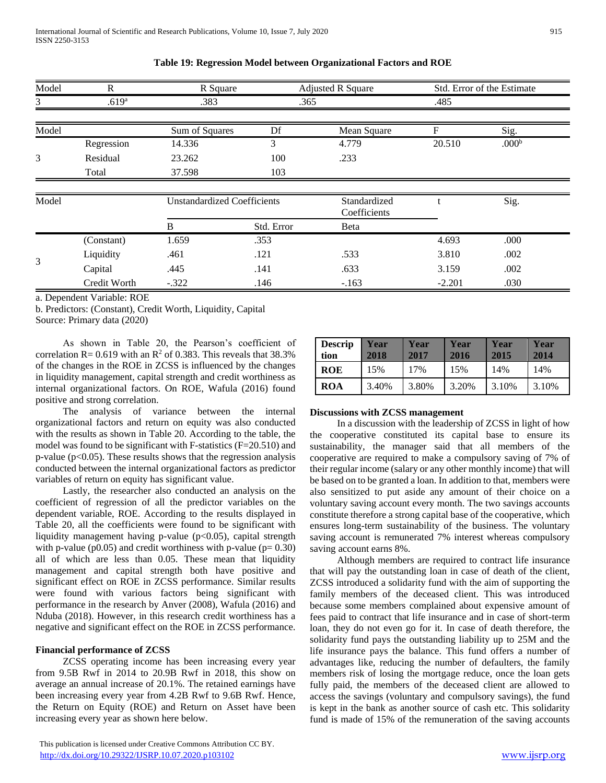| Model | $\mathbf R$       | R Square                           |            | <b>Adjusted R Square</b>     |          | Std. Error of the Estimate |  |
|-------|-------------------|------------------------------------|------------|------------------------------|----------|----------------------------|--|
| 3     | .619 <sup>a</sup> | .383                               | .365       |                              | .485     |                            |  |
|       |                   |                                    |            |                              |          |                            |  |
| Model |                   | Sum of Squares                     | Df         | Mean Square                  | F        | Sig.                       |  |
|       | Regression        | 14.336                             | 3          | 4.779                        | 20.510   | .000 <sup>b</sup>          |  |
| 3     | Residual          | 23.262                             | 100        | .233                         |          |                            |  |
|       | Total             | 37.598                             | 103        |                              |          |                            |  |
|       |                   |                                    |            |                              |          |                            |  |
| Model |                   | <b>Unstandardized Coefficients</b> |            | Standardized<br>Coefficients |          | Sig.                       |  |
|       |                   |                                    |            |                              |          |                            |  |
|       |                   | B                                  | Std. Error | Beta                         |          |                            |  |
|       | (Constant)        | 1.659                              | .353       |                              | 4.693    | .000                       |  |
| 3     | Liquidity         | .461                               | .121       | .533                         | 3.810    | .002                       |  |
|       | Capital           | .445                               | .141       | .633                         | 3.159    | .002                       |  |
|       | Credit Worth      | $-.322$                            | .146       | $-.163$                      | $-2.201$ | .030                       |  |

**Table 19: Regression Model between Organizational Factors and ROE**

a. Dependent Variable: ROE

b. Predictors: (Constant), Credit Worth, Liquidity, Capital Source: Primary data (2020)

 As shown in Table 20, the Pearson's coefficient of correlation R= 0.619 with an  $R^2$  of 0.383. This reveals that 38.3% of the changes in the ROE in ZCSS is influenced by the changes in liquidity management, capital strength and credit worthiness as internal organizational factors. On ROE, Wafula (2016) found positive and strong correlation.

 The analysis of variance between the internal organizational factors and return on equity was also conducted with the results as shown in Table 20. According to the table, the model was found to be significant with F-statistics (F=20.510) and p-value ( $p<0.05$ ). These results shows that the regression analysis conducted between the internal organizational factors as predictor variables of return on equity has significant value.

 Lastly, the researcher also conducted an analysis on the coefficient of regression of all the predictor variables on the dependent variable, ROE. According to the results displayed in Table 20, all the coefficients were found to be significant with liquidity management having p-value ( $p$ <0.05), capital strength with p-value ( $p0.05$ ) and credit worthiness with p-value ( $p= 0.30$ ) all of which are less than 0.05. These mean that liquidity management and capital strength both have positive and significant effect on ROE in ZCSS performance. Similar results were found with various factors being significant with performance in the research by Anver (2008), Wafula (2016) and Nduba (2018). However, in this research credit worthiness has a negative and significant effect on the ROE in ZCSS performance.

# **Financial performance of ZCSS**

 ZCSS operating income has been increasing every year from 9.5B Rwf in 2014 to 20.9B Rwf in 2018, this show on average an annual increase of 20.1%. The retained earnings have been increasing every year from 4.2B Rwf to 9.6B Rwf. Hence, the Return on Equity (ROE) and Return on Asset have been increasing every year as shown here below.

| <b>Descrip</b><br>tion | Year<br>2018 | Year<br>2017 | Year<br>2016 | Year<br>2015 | Year<br>2014 |
|------------------------|--------------|--------------|--------------|--------------|--------------|
| <b>ROE</b>             | 15%          | 17%          | 15%          | 14%          | 14%          |
| ROA                    | 3.40%        | 3.80%        | 3.20%        | 3.10%        | 3.10%        |

#### **Discussions with ZCSS management**

 In a discussion with the leadership of ZCSS in light of how the cooperative constituted its capital base to ensure its sustainability, the manager said that all members of the cooperative are required to make a compulsory saving of 7% of their regular income (salary or any other monthly income) that will be based on to be granted a loan. In addition to that, members were also sensitized to put aside any amount of their choice on a voluntary saving account every month. The two savings accounts constitute therefore a strong capital base of the cooperative, which ensures long-term sustainability of the business. The voluntary saving account is remunerated 7% interest whereas compulsory saving account earns 8%.

 Although members are required to contract life insurance that will pay the outstanding loan in case of death of the client, ZCSS introduced a solidarity fund with the aim of supporting the family members of the deceased client. This was introduced because some members complained about expensive amount of fees paid to contract that life insurance and in case of short-term loan, they do not even go for it. In case of death therefore, the solidarity fund pays the outstanding liability up to 25M and the life insurance pays the balance. This fund offers a number of advantages like, reducing the number of defaulters, the family members risk of losing the mortgage reduce, once the loan gets fully paid, the members of the deceased client are allowed to access the savings (voluntary and compulsory savings), the fund is kept in the bank as another source of cash etc. This solidarity fund is made of 15% of the remuneration of the saving accounts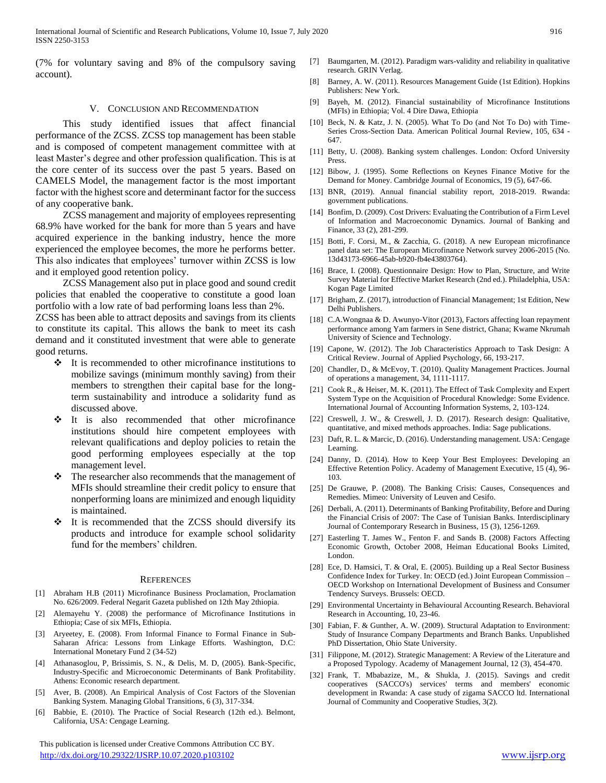(7% for voluntary saving and 8% of the compulsory saving account).

#### V. CONCLUSION AND RECOMMENDATION

 This study identified issues that affect financial performance of the ZCSS. ZCSS top management has been stable and is composed of competent management committee with at least Master's degree and other profession qualification. This is at the core center of its success over the past 5 years. Based on CAMELS Model, the management factor is the most important factor with the highest score and determinant factor for the success of any cooperative bank.

ZCSS management and majority of employees representing 68.9% have worked for the bank for more than 5 years and have acquired experience in the banking industry, hence the more experienced the employee becomes, the more he performs better. This also indicates that employees' turnover within ZCSS is low and it employed good retention policy.

 ZCSS Management also put in place good and sound credit policies that enabled the cooperative to constitute a good loan portfolio with a low rate of bad performing loans less than 2%.

ZCSS has been able to attract deposits and savings from its clients to constitute its capital. This allows the bank to meet its cash demand and it constituted investment that were able to generate good returns.

- $\cdot \cdot$  It is recommended to other microfinance institutions to mobilize savings (minimum monthly saving) from their members to strengthen their capital base for the longterm sustainability and introduce a solidarity fund as discussed above.
- It is also recommended that other microfinance institutions should hire competent employees with relevant qualifications and deploy policies to retain the good performing employees especially at the top management level.
- The researcher also recommends that the management of MFIs should streamline their credit policy to ensure that nonperforming loans are minimized and enough liquidity is maintained.
- It is recommended that the ZCSS should diversify its products and introduce for example school solidarity fund for the members' children.

#### **REFERENCES**

- [1] Abraham H.B (2011) Microfinance Business Proclamation, Proclamation No. 626/2009. Federal Negarit Gazeta published on 12th May 2thiopia.
- [2] Alemayehu Y. (2008) the performance of Microfinance Institutions in Ethiopia; Case of six MFIs, Ethiopia.
- Aryeetey, E. (2008). From Informal Finance to Formal Finance in Sub-Saharan Africa: Lessons from Linkage Efforts. Washington, D.C: International Monetary Fund 2 (34-52)
- [4] Athanasoglou, P, Brissimis, S. N., & Delis, M. D, (2005). Bank-Specific, Industry-Specific and Microeconomic Determinants of Bank Profitability. Athens: Economic research department.
- [5] Aver, B. (2008). An Empirical Analysis of Cost Factors of the Slovenian Banking System. Managing Global Transitions, 6 (3), 317-334.
- [6] Babbie, E. (2010). The Practice of Social Research (12th ed.). Belmont, California, USA: Cengage Learning.

 This publication is licensed under Creative Commons Attribution CC BY. <http://dx.doi.org/10.29322/IJSRP.10.07.2020.p103102> [www.ijsrp.org](http://ijsrp.org/)

- [7] Baumgarten, M. (2012). Paradigm wars-validity and reliability in qualitative research. GRIN Verlag.
- [8] Barney, A. W. (2011). Resources Management Guide (1st Edition). Hopkins Publishers: New York.
- [9] Bayeh, M. (2012). Financial sustainability of Microfinance Institutions (MFIs) in Ethiopia; Vol. 4 Dire Dawa, Ethiopia
- [10] Beck, N. & Katz, J. N. (2005). What To Do (and Not To Do) with Time-Series Cross-Section Data. American Political Journal Review, 105, 634 - 647.
- [11] Betty, U. (2008). Banking system challenges. London: Oxford University Press.
- [12] Bibow, J. (1995). Some Reflections on Keynes Finance Motive for the Demand for Money. Cambridge Journal of Economics, 19 (5), 647-66.
- [13] BNR, (2019). Annual financial stability report, 2018-2019. Rwanda: government publications.
- [14] Bonfim, D. (2009). Cost Drivers: Evaluating the Contribution of a Firm Level of Information and Macroeconomic Dynamics. Journal of Banking and Finance, 33 (2), 281-299.
- [15] Botti, F. Corsi, M., & Zacchia, G. (2018). A new European microfinance panel data set: The European Microfinance Network survey 2006-2015 (No. 13d43173-6966-45ab-b920-fb4e43803764).
- [16] Brace, I. (2008). Questionnaire Design: How to Plan, Structure, and Write Survey Material for Effective Market Research (2nd ed.). Philadelphia, USA: Kogan Page Limited
- [17] Brigham, Z. (2017), introduction of Financial Management; 1st Edition, New Delhi Publishers.
- [18] C.A.Wongnaa & D. Awunyo-Vitor (2013), Factors affecting loan repayment performance among Yam farmers in Sene district, Ghana; Kwame Nkrumah University of Science and Technology.
- [19] Capone, W. (2012). The Job Characteristics Approach to Task Design: A Critical Review. Journal of Applied Psychology, 66, 193-217.
- [20] Chandler, D., & McEvoy, T. (2010). Quality Management Practices. Journal of operations a management, 34, 1111-1117.
- [21] Cook R., & Heiser, M. K. (2011). The Effect of Task Complexity and Expert System Type on the Acquisition of Procedural Knowledge: Some Evidence. International Journal of Accounting Information Systems, 2, 103-124.
- [22] Creswell, J. W., & Creswell, J. D. (2017). Research design: Qualitative, quantitative, and mixed methods approaches. India: Sage publications.
- [23] Daft, R. L. & Marcic, D. (2016). Understanding management. USA: Cengage Learning.
- [24] Danny, D. (2014). How to Keep Your Best Employees: Developing an Effective Retention Policy. Academy of Management Executive, 15 (4), 96- 103.
- [25] De Grauwe, P. (2008). The Banking Crisis: Causes, Consequences and Remedies. Mimeo: University of Leuven and Cesifo.
- [26] Derbali, A. (2011). Determinants of Banking Profitability, Before and During the Financial Crisis of 2007: The Case of Tunisian Banks. Interdisciplinary Journal of Contemporary Research in Business, 15 (3), 1256-1269.
- [27] Easterling T. James W., Fenton F. and Sands B. (2008) Factors Affecting Economic Growth, October 2008, Heiman Educational Books Limited, London.
- [28] Ece, D. Hamsici, T. & Oral, E. (2005). Building up a Real Sector Business Confidence Index for Turkey. In: OECD (ed.) Joint European Commission – OECD Workshop on International Development of Business and Consumer Tendency Surveys. Brussels: OECD.
- [29] Environmental Uncertainty in Behavioural Accounting Research. Behavioral Research in Accounting, 10, 23-46.
- [30] Fabian, F. & Gunther, A. W. (2009). Structural Adaptation to Environment: Study of Insurance Company Departments and Branch Banks. Unpublished PhD Dissertation, Ohio State University.
- [31] Filippone, M. (2012). Strategic Management: A Review of the Literature and a Proposed Typology. Academy of Management Journal, 12 (3), 454-470.
- [32] Frank, T. Mbabazize, M., & Shukla, J. (2015). Savings and credit cooperatives (SACCO's) services' terms and members' economic development in Rwanda: A case study of zigama SACCO ltd. International Journal of Community and Cooperative Studies, 3(2).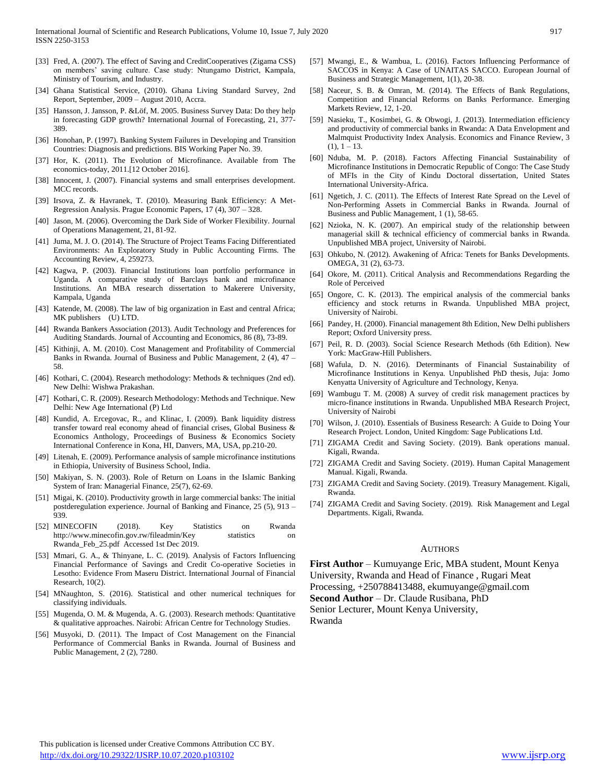- [33] Fred, A. (2007). The effect of Saving and CreditCooperatives (Zigama CSS) on members' saving culture. Case study: Ntungamo District, Kampala, Ministry of Tourism, and Industry.
- [34] Ghana Statistical Service, (2010). Ghana Living Standard Survey, 2nd Report, September, 2009 – August 2010, Accra.
- [35] Hansson, J. Jansson, P. &Löf, M. 2005. Business Survey Data: Do they help in forecasting GDP growth? International Journal of Forecasting, 21, 377- 389.
- [36] Honohan, P. (1997). Banking System Failures in Developing and Transition Countries: Diagnosis and predictions. BIS Working Paper No. 39.
- [37] Hor, K. (2011). The Evolution of Microfinance. Available from The economics-today, 2011.[12 October 2016].
- [38] Innocent, J. (2007). Financial systems and small enterprises development. MCC records.
- [39] Irsova, Z. & Havranek, T. (2010). Measuring Bank Efficiency: A Met-Regression Analysis. Prague Economic Papers, 17 (4), 307 – 328.
- [40] Jason, M. (2006). Overcoming the Dark Side of Worker Flexibility. Journal of Operations Management, 21, 81-92.
- [41] Juma, M. J. O. (2014). The Structure of Project Teams Facing Differentiated Environments: An Exploratory Study in Public Accounting Firms. The Accounting Review, 4, 259273.
- [42] Kagwa, P. (2003). Financial Institutions loan portfolio performance in Uganda. A comparative study of Barclays bank and microfinance Institutions. An MBA research dissertation to Makerere University, Kampala, Uganda
- [43] Katende, M. (2008). The law of big organization in East and central Africa; MK publishers (U) LTD.
- [44] Rwanda Bankers Association (2013). Audit Technology and Preferences for Auditing Standards. Journal of Accounting and Economics, 86 (8), 73-89.
- [45] Kithinji, A. M. (2010). Cost Management and Profitability of Commercial Banks in Rwanda. Journal of Business and Public Management, 2 (4), 47 – 58.
- [46] Kothari, C. (2004). Research methodology: Methods & techniques (2nd ed). New Delhi: Wishwa Prakashan.
- [47] Kothari, C. R. (2009). Research Methodology: Methods and Technique. New Delhi: New Age International (P) Ltd
- [48] Kundid, A. Ercegovac, R., and Klinac, I. (2009). Bank liquidity distress transfer toward real economy ahead of financial crises, Global Business & Economics Anthology, Proceedings of Business & Economics Society International Conference in Kona, HI, Danvers, MA, USA, pp.210-20.
- [49] Litenah, E. (2009). Performance analysis of sample microfinance institutions in Ethiopia, University of Business School, India.
- [50] Makiyan, S. N. (2003). Role of Return on Loans in the Islamic Banking System of Iran: Managerial Finance, 25(7), 62-69.
- [51] Migai, K. (2010). Productivity growth in large commercial banks: The initial postderegulation experience. Journal of Banking and Finance, 25 (5), 913 – 939.
- [52] MINECOFIN (2018). Key Statistics on Rwanda http://www.minecofin.gov.rw/fileadmin/Key statistics on Rwanda\_Feb\_25.pdf Accessed 1st Dec 2019.
- [53] Mmari, G. A., & Thinyane, L. C. (2019). Analysis of Factors Influencing Financial Performance of Savings and Credit Co-operative Societies in Lesotho: Evidence From Maseru District. International Journal of Financial Research, 10(2).
- [54] MNaughton, S. (2016). Statistical and other numerical techniques for classifying individuals.
- [55] Mugenda, O. M. & Mugenda, A. G. (2003). Research methods: Quantitative & qualitative approaches. Nairobi: African Centre for Technology Studies.
- [56] Musyoki, D. (2011). The Impact of Cost Management on the Financial Performance of Commercial Banks in Rwanda. Journal of Business and Public Management, 2 (2), 7280.
- [57] Mwangi, E., & Wambua, L. (2016). Factors Influencing Performance of SACCOS in Kenya: A Case of UNAITAS SACCO. European Journal of Business and Strategic Management, 1(1), 20-38.
- [58] Naceur, S. B. & Omran, M. (2014). The Effects of Bank Regulations, Competition and Financial Reforms on Banks Performance. Emerging Markets Review, 12, 1-20.
- [59] Nasieku, T., Kosimbei, G. & Obwogi, J. (2013). Intermediation efficiency and productivity of commercial banks in Rwanda: A Data Envelopment and Malmquist Productivity Index Analysis. Economics and Finance Review, 3  $(1), 1 - 13.$
- [60] Nduba, M. P. (2018). Factors Affecting Financial Sustainability of Microfinance Institutions in Democratic Republic of Congo: The Case Study of MFIs in the City of Kindu Doctoral dissertation, United States International University-Africa.
- [61] Ngetich, J. C. (2011). The Effects of Interest Rate Spread on the Level of Non-Performing Assets in Commercial Banks in Rwanda. Journal of Business and Public Management, 1 (1), 58-65.
- [62] Nzioka, N. K. (2007). An empirical study of the relationship between managerial skill & technical efficiency of commercial banks in Rwanda. Unpublished MBA project, University of Nairobi.
- [63] Ohkubo, N. (2012). Awakening of Africa: Tenets for Banks Developments. OMEGA, 31 (2), 63-73.
- [64] Okore, M. (2011). Critical Analysis and Recommendations Regarding the Role of Perceived
- [65] Ongore, C. K. (2013). The empirical analysis of the commercial banks efficiency and stock returns in Rwanda. Unpublished MBA project, University of Nairobi.
- [66] Pandey, H. (2000). Financial management 8th Edition, New Delhi publishers Report; Oxford University press.
- [67] Peil, R. D. (2003). Social Science Research Methods (6th Edition). New York: MacGraw-Hill Publishers.
- [68] Wafula, D. N. (2016). Determinants of Financial Sustainability of Microfinance Institutions in Kenya. Unpublished PhD thesis, Juja: Jomo Kenyatta University of Agriculture and Technology, Kenya.
- [69] Wambugu T. M. (2008) A survey of credit risk management practices by micro-finance institutions in Rwanda. Unpublished MBA Research Project, University of Nairobi
- [70] Wilson, J. (2010). Essentials of Business Research: A Guide to Doing Your Research Project. London, United Kingdom: Sage Publications Ltd.
- [71] ZIGAMA Credit and Saving Society. (2019). Bank operations manual. Kigali, Rwanda.
- [72] ZIGAMA Credit and Saving Society. (2019). Human Capital Management Manual. Kigali, Rwanda.
- [73] ZIGAMA Credit and Saving Society. (2019). Treasury Management. Kigali, Rwanda.
- [74] ZIGAMA Credit and Saving Society. (2019). Risk Management and Legal Departments. Kigali, Rwanda.

#### **AUTHORS**

**First Author** – Kumuyange Eric, MBA student, Mount Kenya University, Rwanda and Head of Finance , Rugari Meat Processing, +250788413488, ekumuyange@gmail.com **Second Author** – Dr. Claude Rusibana, PhD Senior Lecturer, Mount Kenya University, Rwanda